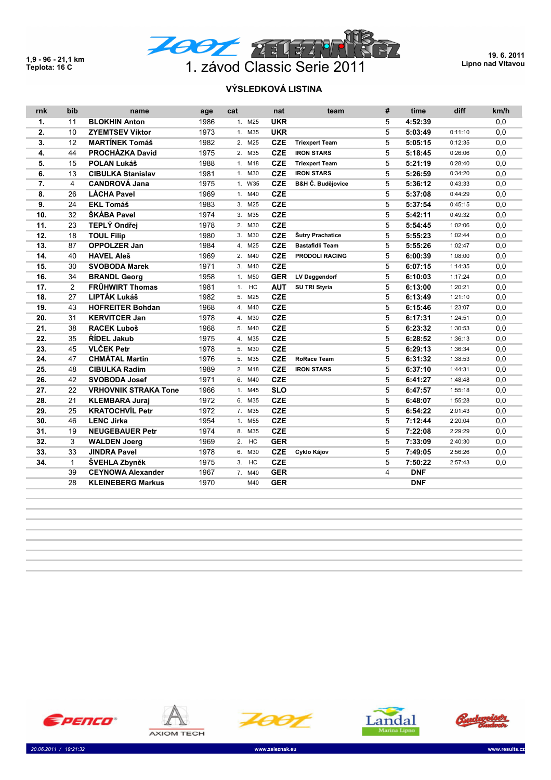**1,9 - 96 - 21,1 km**



**19. 6. 2011 Lipno nad Vltavou**

## **VÝSLEDKOVÁ LISTINA**

| rnk            | bib            | name                        | age  | cat    | nat        | team                         | # | time       | diff    | km/h |
|----------------|----------------|-----------------------------|------|--------|------------|------------------------------|---|------------|---------|------|
| $\mathbf{1}$ . | 11             | <b>BLOKHIN Anton</b>        | 1986 | 1. M25 | <b>UKR</b> |                              | 5 | 4:52:39    |         | 0,0  |
| 2.             | 10             | <b>ZYEMTSEV Viktor</b>      | 1973 | 1. M35 | <b>UKR</b> |                              | 5 | 5:03:49    | 0:11:10 | 0,0  |
| 3.             | 12             | <b>MARTÍNEK Tomáš</b>       | 1982 | 2. M25 | <b>CZE</b> | <b>Triexpert Team</b>        | 5 | 5:05:15    | 0:12:35 | 0,0  |
| 4.             | 44             | PROCHÁZKA David             | 1975 | 2. M35 | <b>CZE</b> | <b>IRON STARS</b>            | 5 | 5:18:45    | 0:26:06 | 0,0  |
| 5.             | 15             | <b>POLAN Lukáš</b>          | 1988 | 1. M18 | <b>CZE</b> | <b>Triexpert Team</b>        | 5 | 5:21:19    | 0:28:40 | 0,0  |
| 6.             | 13             | <b>CIBULKA Stanislav</b>    | 1981 | 1. M30 | <b>CZE</b> | <b>IRON STARS</b>            | 5 | 5:26:59    | 0:34:20 | 0,0  |
| 7.             | 4              | <b>CANDROVÁ Jana</b>        | 1975 | 1. W35 | <b>CZE</b> | <b>B&amp;H Č. Budějovice</b> | 5 | 5:36:12    | 0:43:33 | 0,0  |
| 8.             | 26             | <b>LÁCHA Pavel</b>          | 1969 | 1. M40 | <b>CZE</b> |                              | 5 | 5:37:08    | 0:44:29 | 0,0  |
| 9.             | 24             | <b>EKL Tomáš</b>            | 1983 | 3. M25 | <b>CZE</b> |                              | 5 | 5:37:54    | 0:45:15 | 0,0  |
| 10.            | 32             | ŠKÁBA Pavel                 | 1974 | 3. M35 | <b>CZE</b> |                              | 5 | 5:42:11    | 0:49:32 | 0,0  |
| 11.            | 23             | TEPLÝ Ondřej                | 1978 | 2. M30 | <b>CZE</b> |                              | 5 | 5:54:45    | 1:02:06 | 0,0  |
| 12.            | 18             | <b>TOUL Filip</b>           | 1980 | 3. M30 | <b>CZE</b> | Šutry Prachatice             | 5 | 5:55:23    | 1:02:44 | 0,0  |
| 13.            | 87             | <b>OPPOLZER Jan</b>         | 1984 | 4. M25 | <b>CZE</b> | <b>Bastafidli Team</b>       | 5 | 5:55:26    | 1:02:47 | 0,0  |
| 14.            | 40             | <b>HAVEL Aleš</b>           | 1969 | 2. M40 | <b>CZE</b> | <b>PRODOLI RACING</b>        | 5 | 6:00:39    | 1:08:00 | 0,0  |
| 15.            | 30             | <b>SVOBODA Marek</b>        | 1971 | 3. M40 | <b>CZE</b> |                              | 5 | 6:07:15    | 1:14:35 | 0,0  |
| 16.            | 34             | <b>BRANDL Georg</b>         | 1958 | 1. M50 | <b>GER</b> | <b>LV Deggendorf</b>         | 5 | 6:10:03    | 1:17:24 | 0,0  |
| 17.            | $\overline{2}$ | <b>FRÜHWIRT Thomas</b>      | 1981 | 1. HC  | <b>AUT</b> | SU TRI Styria                | 5 | 6:13:00    | 1:20:21 | 0,0  |
| 18.            | 27             | LIPTÁK Lukáš                | 1982 | 5. M25 | <b>CZE</b> |                              | 5 | 6:13:49    | 1:21:10 | 0,0  |
| 19.            | 43             | <b>HOFREITER Bohdan</b>     | 1968 | 4. M40 | <b>CZE</b> |                              | 5 | 6:15:46    | 1:23:07 | 0,0  |
| 20.            | 31             | <b>KERVITCER Jan</b>        | 1978 | 4. M30 | <b>CZE</b> |                              | 5 | 6:17:31    | 1:24:51 | 0,0  |
| 21.            | 38             | <b>RACEK Luboš</b>          | 1968 | 5. M40 | <b>CZE</b> |                              | 5 | 6:23:32    | 1:30:53 | 0,0  |
| 22.            | 35             | ŘÍDEL Jakub                 | 1975 | 4. M35 | <b>CZE</b> |                              | 5 | 6:28:52    | 1:36:13 | 0,0  |
| 23.            | 45             | <b>VLČEK Petr</b>           | 1978 | 5. M30 | <b>CZE</b> |                              | 5 | 6:29:13    | 1:36:34 | 0,0  |
| 24.            | 47             | <b>CHMÁTAL Martin</b>       | 1976 | 5. M35 | <b>CZE</b> | <b>RoRace Team</b>           | 5 | 6:31:32    | 1:38:53 | 0,0  |
| 25.            | 48             | <b>CIBULKA Radim</b>        | 1989 | 2. M18 | <b>CZE</b> | <b>IRON STARS</b>            | 5 | 6:37:10    | 1:44:31 | 0,0  |
| 26.            | 42             | <b>SVOBODA Josef</b>        | 1971 | 6. M40 | <b>CZE</b> |                              | 5 | 6:41:27    | 1:48:48 | 0,0  |
| 27.            | 22             | <b>VRHOVNIK STRAKA Tone</b> | 1966 | 1. M45 | <b>SLO</b> |                              | 5 | 6:47:57    | 1:55:18 | 0,0  |
| 28.            | 21             | <b>KLEMBARA Juraj</b>       | 1972 | 6. M35 | <b>CZE</b> |                              | 5 | 6:48:07    | 1:55:28 | 0,0  |
| 29.            | 25             | <b>KRATOCHVÍL Petr</b>      | 1972 | 7. M35 | <b>CZE</b> |                              | 5 | 6:54:22    | 2:01:43 | 0,0  |
| 30.            | 46             | <b>LENC Jirka</b>           | 1954 | 1. M55 | <b>CZE</b> |                              | 5 | 7:12:44    | 2:20:04 | 0,0  |
| 31.            | 19             | <b>NEUGEBAUER Petr</b>      | 1974 | 8. M35 | <b>CZE</b> |                              | 5 | 7:22:08    | 2:29:29 | 0,0  |
| 32.            | 3              | <b>WALDEN Joerg</b>         | 1969 | 2. HC  | <b>GER</b> |                              | 5 | 7:33:09    | 2:40:30 | 0,0  |
| 33.            | 33             | <b>JINDRA Pavel</b>         | 1978 | 6. M30 | <b>CZE</b> | Cyklo Kájov                  | 5 | 7:49:05    | 2:56:26 | 0,0  |
| 34.            | $\mathbf{1}$   | ŠVEHLA Zbyněk               | 1975 | 3. HC  | <b>CZE</b> |                              | 5 | 7:50:22    | 2:57:43 | 0,0  |
|                | 39             | <b>CEYNOWA Alexander</b>    | 1967 | 7. M40 | <b>GER</b> |                              | 4 | <b>DNF</b> |         |      |
|                | 28             | <b>KLEINEBERG Markus</b>    | 1970 | M40    | <b>GER</b> |                              |   | <b>DNF</b> |         |      |











 *20.06.2011 / 19:21:32* **www.zeleznak.eu www.results.cz**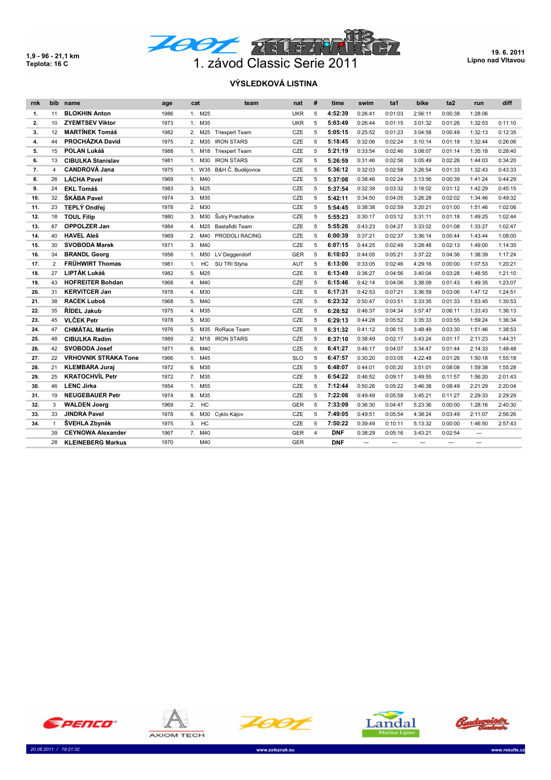**1,9 - 96 - 21,1 km**



**19. 6. 2011 Lipno nad Vltavou**

## **VÝSLEDKOVÁ LISTINA**

| rnk | bib            | name                        | age  | cat                   | team                  | nat        | # | time       | swim    | ta1     | bike    | ta <sub>2</sub> | run            | diff    |
|-----|----------------|-----------------------------|------|-----------------------|-----------------------|------------|---|------------|---------|---------|---------|-----------------|----------------|---------|
| 1.  | 11             | <b>BLOKHIN Anton</b>        | 1986 | 1. M25                |                       | <b>UKR</b> | 5 | 4:52:39    | 0:26:41 | 0:01:03 | 2:56:11 | 0:00:38         | 1:28:06        |         |
| 2.  | 10             | <b>ZYEMTSEV Viktor</b>      | 1973 | 1. M35                |                       | <b>UKR</b> | 5 | 5:03:49    | 0:26:44 | 0:01:15 | 3:01:32 | 0:01:26         | 1:32:53        | 0:11:10 |
| 3.  | 12             | <b>MARTÍNEK Tomáš</b>       | 1982 | M25<br>2.             | <b>Triexpert Team</b> | <b>CZE</b> | 5 | 5:05:15    | 0:25:52 | 0:01:23 | 3:04:58 | 0:00:49         | 1:32:13        | 0:12:35 |
| 4.  | 44             | PROCHÁZKA David             | 1975 | M35<br>2.             | <b>IRON STARS</b>     | <b>CZE</b> | 5 | 5:18:45    | 0:32:06 | 0:02:24 | 3:10:14 | 0:01:18         | 1:32:44        | 0:26:06 |
| 5.  | 15             | <b>POLAN Lukáš</b>          | 1988 | M18<br>1.             | <b>Triexpert Team</b> | CZE        | 5 | 5:21:19    | 0:33:54 | 0:02:46 | 3:08:07 | 0:01:14         | 1:35:18        | 0:28:40 |
| 6.  | 13             | <b>CIBULKA Stanislav</b>    | 1981 | M30<br>1.             | <b>IRON STARS</b>     | <b>CZE</b> | 5 | 5:26:59    | 0:31:46 | 0:02:56 | 3:05:49 | 0:02:26         | 1:44:03        | 0:34:20 |
| 7.  | 4              | <b>CANDROVÁ Jana</b>        | 1975 | 1. W35                | B&H Č. Budějovice     | CZE        | 5 | 5:36:12    | 0:32:03 | 0:02:58 | 3:26:54 | 0:01:33         | 1:32:43        | 0:43:33 |
| 8.  | 26             | <b>LÁCHA Pavel</b>          | 1969 | M40<br>1.             |                       | <b>CZE</b> | 5 | 5:37:08    | 0:38:46 | 0:02:24 | 3:13:56 | 0:00:39         | 1:41:24        | 0:44:29 |
| 9.  | 24             | <b>EKL Tomáš</b>            | 1983 | M25<br>3.             |                       | <b>CZE</b> | 5 | 5:37:54    | 0:32:39 | 0:03:32 | 3:18:02 | 0:01:12         | 1:42:29        | 0:45:15 |
| 10. | 32             | ŠKÁBA Pavel                 | 1974 | M35<br>3.             |                       | CZE        | 5 | 5:42:11    | 0:34:50 | 0:04:05 | 3:26:28 | 0:02:02         | 1:34:46        | 0:49:32 |
| 11. | 23             | TEPLÝ Ondřej                | 1978 | M30<br>2 <sup>1</sup> |                       | <b>CZE</b> | 5 | 5:54:45    | 0:38:38 | 0:02:59 | 3:20:21 | 0:01:00         | 1:51:46        | 1:02:06 |
| 12. | 18             | <b>TOUL Filip</b>           | 1980 | M30<br>3.             | Šutry Prachatice      | CZE        | 5 | 5:55:23    | 0:30:17 | 0:03:12 | 3:31:11 | 0:01:18         | 1:49:25        | 1:02:44 |
| 13. | 87             | <b>OPPOLZER Jan</b>         | 1984 | M25<br>4 <sup>1</sup> | Bastafidli Team       | CZE        | 5 | 5:55:26    | 0:43:23 | 0:04:27 | 3:33:02 | 0:01:08         | 1:33:27        | 1:02:47 |
| 14. | 40             | <b>HAVEL Aleš</b>           | 1969 | M40<br>2.             | PRODOLI RACING        | CZE        | 5 | 6:00:39    | 0:37:21 | 0:02:37 | 3:36:14 | 0:00:44         | 1:43:44        | 1:08:00 |
| 15. | 30             | <b>SVOBODA Marek</b>        | 1971 | M40<br>3.             |                       | CZE        | 5 | 6:07:15    | 0:44:25 | 0:02:49 | 3:28:48 | 0:02:13         | 1:49:00        | 1:14:35 |
| 16. | 34             | <b>BRANDL Georg</b>         | 1958 | M50<br>1.             | LV Deggendorf         | <b>GER</b> | 5 | 6:10:03    | 0:44:05 | 0:05:21 | 3:37:22 | 0:04:36         | 1:38:39        | 1:17:24 |
| 17. | $\overline{2}$ | <b>FRÜHWIRT Thomas</b>      | 1981 | HC<br>1.              | SU TRI Styria         | AUT        | 5 | 6:13:00    | 0:33:05 | 0:02:46 | 4:29:16 | 0:00:00         | 1:07:53        | 1:20:21 |
| 18. | 27             | LIPTÁK Lukáš                | 1982 | M25<br>5.             |                       | CZE        | 5 | 6:13:49    | 0:36:27 | 0:04:56 | 3:40:04 | 0:03:28         | 1:48:55        | 1:21:10 |
| 19. | 43             | <b>HOFREITER Bohdan</b>     | 1968 | M40<br>4.             |                       | CZE        | 5 | 6:15:46    | 0:42:14 | 0:04:06 | 3:38:09 | 0:01:43         | 1:49:35        | 1:23:07 |
| 20. | 31             | <b>KERVITCER Jan</b>        | 1978 | M30<br>4.             |                       | CZE        | 5 | 6:17:31    | 0:42:53 | 0:07:21 | 3:36:59 | 0:03:06         | 1:47:12        | 1:24:51 |
| 21. | 38             | <b>RACEK Luboš</b>          | 1968 | 5.<br>M40             |                       | CZE        | 5 | 6:23:32    | 0:50:47 | 0:03:51 | 3:33:35 | 0:01:33         | 1:53:45        | 1:30:53 |
| 22. | 35             | ŘÍDEL Jakub                 | 1975 | M35<br>4.             |                       | CZE        | 5 | 6:28:52    | 0:46:37 | 0:04:34 | 3:57:47 | 0:06:11         | 1:33:43        | 1:36:13 |
| 23. | 45             | <b>VLČEK Petr</b>           | 1978 | M30<br>5.             |                       | CZE        | 5 | 6:29:13    | 0:44:28 | 0:05:52 | 3:35:33 | 0:03:55         | 1:59:24        | 1:36:34 |
| 24. | 47             | <b>CHMÁTAL Martin</b>       | 1976 | 5.<br>M35             | RoRace Team           | CZE        | 5 | 6:31:32    | 0:41:12 | 0:06:15 | 3:48:49 | 0:03:30         | 1:51:46        | 1:38:53 |
| 25. | 48             | <b>CIBULKA Radim</b>        | 1989 | M18<br>2.             | <b>IRON STARS</b>     | CZE        | 5 | 6:37:10    | 0:38:49 | 0:02:17 | 3:43:24 | 0:01:17         | 2:11:23        | 1:44:31 |
| 26. | 42             | <b>SVOBODA Josef</b>        | 1971 | M40<br>6.             |                       | CZE        | 5 | 6:41:27    | 0:46:17 | 0:04:07 | 3:34:47 | 0:01:44         | 2:14:33        | 1:48:48 |
| 27. | 22             | <b>VRHOVNIK STRAKA Tone</b> | 1966 | 1. M45                |                       | <b>SLO</b> | 5 | 6:47:57    | 0:30:20 | 0:03:05 | 4:22:48 | 0:01:26         | 1:50:18        | 1:55:18 |
| 28. | 21             | <b>KLEMBARA Juraj</b>       | 1972 | M35<br>6.             |                       | CZE        | 5 | 6:48:07    | 0:44:01 | 0:05:20 | 3:51:01 | 0:08:08         | 1:59:38        | 1:55:28 |
| 29. | 25             | <b>KRATOCHVÍL Petr</b>      | 1972 | 7. M35                |                       | CZE        | 5 | 6:54:22    | 0:46:52 | 0:09:17 | 3:49:55 | 0:11:57         | 1:56:20        | 2:01:43 |
| 30. | 46             | <b>LENC Jirka</b>           | 1954 | M55<br>1.             |                       | CZE        | 5 | 7:12:44    | 0:50:26 | 0:05:22 | 3:46:38 | 0:08:49         | 2:21:29        | 2:20:04 |
| 31. | 19             | <b>NEUGEBAUER Petr</b>      | 1974 | M35<br>8.             |                       | <b>CZE</b> | 5 | 7:22:08    | 0:49:49 | 0:05:58 | 3:45:21 | 0:11:27         | 2:29:33        | 2:29:29 |
| 32. | 3              | <b>WALDEN Joerg</b>         | 1969 | HC<br>2.              |                       | <b>GER</b> | 5 | 7:33:09    | 0:36:30 | 0:04:47 | 5:23:36 | 0:00:00         | 1:28:16        | 2:40:30 |
| 33. | 33             | <b>JINDRA Pavel</b>         | 1978 | 6.<br>M30             | Cyklo Kájov           | CZE        | 5 | 7:49:05    | 0:49:51 | 0:05:54 | 4:38:24 | 0:03:49         | 2:11:07        | 2:56:26 |
| 34. | $\mathbf{1}$   | ŠVEHLA Zbyněk               | 1975 | HC<br>3.              |                       | <b>CZE</b> | 5 | 7:50:22    | 0:39:49 | 0:10:11 | 5:13:32 | 0:00:00         | 1:46:50        | 2:57:43 |
|     | 39             | <b>CEYNOWA Alexander</b>    | 1967 | 7. M40                |                       | <b>GER</b> | 4 | <b>DNF</b> | 0:38:29 | 0:05:16 | 3:43:21 | 0:02:54         | ---            |         |
|     | 28             | <b>KLEINEBERG Markus</b>    | 1970 | M40                   |                       | <b>GER</b> |   | <b>DNF</b> | ---     |         | ---     |                 | $\overline{a}$ |         |











 *20.06.2011 / 19:21:32* **www.zeleznak.eu www.results.cz**